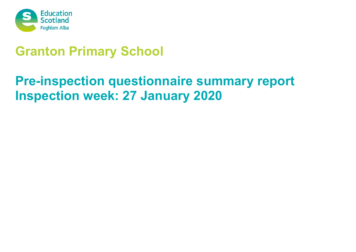

# **Granton Primary School**

# **Pre-inspection questionnaire summary report Inspection week: 27 January 2020**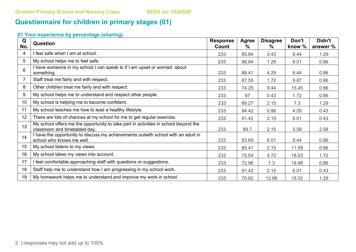# **Questionnaire for children in primary stages (01)**

| Q<br>No. | <b>Question</b>                                                                                                      | <b>Response</b><br>Count | <b>Agree</b><br>% | <b>Disagree</b><br>% | Don't<br>know % | Didn't<br>answer % |
|----------|----------------------------------------------------------------------------------------------------------------------|--------------------------|-------------------|----------------------|-----------------|--------------------|
| 4        | I feel safe when I am at school.                                                                                     | 233                      | 85.84             | 3.43                 | 9.44            | 1.29               |
| 5        | My school helps me to feel safe.                                                                                     | 233                      | 88.84             | 1.29                 | 9.01            | 0.86               |
| 6        | I have someone in my school I can speak to if I am upset or worried about<br>something.                              | 233                      | 88.41             | 4.29                 | 6.44            | 0.86               |
|          | Staff treat me fairly and with respect.                                                                              | 233                      | 87.55             | 1.72                 | 9.87            | 0.86               |
| 8        | Other children treat me fairly and with respect.                                                                     | 233                      | 74.25             | 9.44                 | 15.45           | 0.86               |
| 9        | My school helps me to understand and respect other people.                                                           | 233                      | 97                | 0.43                 | 1.72            | 0.86               |
| 10       | My school is helping me to become confident.                                                                         | 233                      | 89.27             | 2.15                 | 7.3             | 1.29               |
| 11       | My school teaches me how to lead a healthy lifestyle.                                                                | 233                      | 94.42             | 0.86                 | 4.29            | 0.43               |
| 12       | There are lots of chances at my school for me to get regular exercise.                                               | 233                      | 91.42             | 2.15                 | 6.01            | 0.43               |
| 13       | My school offers me the opportunity to take part in activities in school beyond the<br>classroom and timetabled day. | 233                      | 89.7              | 2.15                 | 5.58            | 2.58               |
| 14       | I have the opportunity to discuss my achievements outwith school with an adult in<br>school who knows me well.       | 233                      | 83.69             | 6.01                 | 9.44            | 0.86               |
| 15       | My school listens to my views.                                                                                       | 233                      | 85.41             | 2.15                 | 11.59           | 0.86               |
| 16       | My school takes my views into account.                                                                               | 233                      | 75.54             | 4.72                 | 18.03           | 1.72               |
| 17       | I feel comfortable approaching staff with questions or suggestions.                                                  | 233                      | 72.96             | 7.3                  | 18.88           | 0.86               |
| 18       | Staff help me to understand how I am progressing in my school work.                                                  | 233                      | 91.42             | 2.15                 | 6.01            | 0.43               |
| 19       | My homework helps me to understand and improve my work in school.                                                    | 233                      | 70.82             | 12.88                | 15.02           | 1.29               |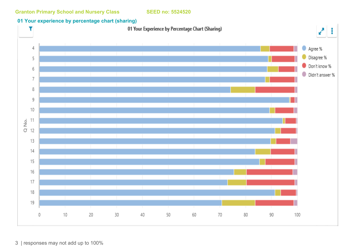#### **01 Your experience by percentage chart (sharing)**

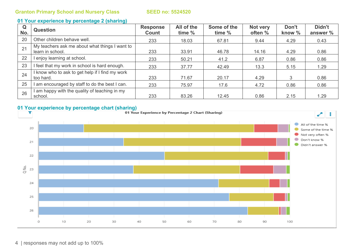#### **01 Your experience by percentage 2 (sharing)**

| Q<br>No. | <b>Question</b>                                                    | <b>Response</b><br>Count | All of the<br>time % | Some of the<br>time % | Not very<br>often % | Don't<br>know % | Didn't<br>answer % |
|----------|--------------------------------------------------------------------|--------------------------|----------------------|-----------------------|---------------------|-----------------|--------------------|
| 20       | Other children behave well.                                        | 233                      | 18.03                | 67.81                 | 9.44                | 4.29            | 0.43               |
| 21       | My teachers ask me about what things I want to<br>learn in school. | 233                      | 33.91                | 46.78                 | 14.16               | 4.29            | 0.86               |
| 22       | I enjoy learning at school.                                        | 233                      | 50.21                | 41.2                  | 6.87                | 0.86            | 0.86               |
| 23       | I feel that my work in school is hard enough.                      | 233                      | 37.77                | 42.49                 | 13.3                | 5.15            | 1.29               |
| 24       | I know who to ask to get help if I find my work<br>too hard.       | 233                      | 71.67                | 20.17                 | 4.29                | 3               | 0.86               |
| 25       | I am encouraged by staff to do the best I can.                     | 233                      | 75.97                | 17.6                  | 4.72                | 0.86            | 0.86               |
| 26       | I am happy with the quality of teaching in my<br>school.           | 233                      | 83.26                | 12.45                 | 0.86                | 2.15            | 1.29               |

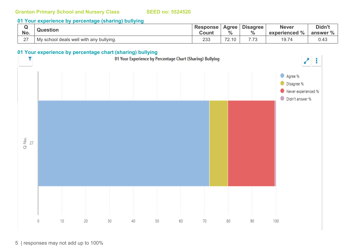#### **01 Your experience by percentage (sharing) bullying**

| No.         | <b>Question</b>                           | <b>Response</b><br>Count | Agree<br>$\frac{0}{0}$              | <b>Disagree</b><br>0/ | <b>Never</b><br>$\frac{10}{6}$<br>experienced | Didn't<br>answer % |
|-------------|-------------------------------------------|--------------------------|-------------------------------------|-----------------------|-----------------------------------------------|--------------------|
| $\sim$<br>- | I My school deals well with any bullying. | 233                      | $\overline{\phantom{0}}$<br>$\cdot$ | $\neg$                | $\rightarrow$<br>19.7                         | 0.43               |

## **01 Your experience by percentage chart (sharing) bullying**

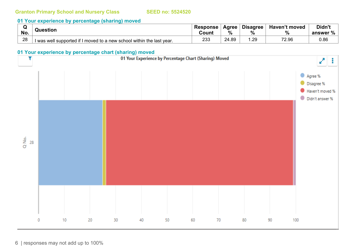#### **01 Your experience by percentage (sharing) moved**

|     |                                                                       | <b>Response</b> | Agree | <b>Disagree</b> | <b>Haven't moved</b> | Didn't   |
|-----|-----------------------------------------------------------------------|-----------------|-------|-----------------|----------------------|----------|
| No. | Question                                                              |                 | %     | $\Omega$        | 70                   | answer % |
| 28  | I was well supported if I moved to a new school within the last year. | 233             | 24.89 | .29             | 72.96                | ა.86     |

#### **01 Your experience by percentage chart (sharing) moved**

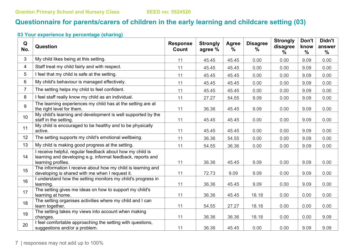# **Questionnaire for parents/carers of children in the early learning and childcare setting (03)**

| Q<br>No.       | <b>Question</b>                                                                                                                                | <b>Response</b><br>Count | <b>Strongly</b><br>agree % | Agree<br>$\%$ | <b>Disagree</b><br>$\%$ | <b>Strongly</b><br>disagree<br>℅ | Don't<br>know<br>$\frac{0}{0}$ | Didn't<br>answer<br>$\frac{0}{0}$ |
|----------------|------------------------------------------------------------------------------------------------------------------------------------------------|--------------------------|----------------------------|---------------|-------------------------|----------------------------------|--------------------------------|-----------------------------------|
| 3              | My child likes being at this setting.                                                                                                          | 11                       | 45.45                      | 45.45         | 0.00                    | 0.00                             | 9.09                           | 0.00                              |
| 4              | Staff treat my child fairly and with respect.                                                                                                  | 11                       | 45.45                      | 45.45         | 0.00                    | 0.00                             | 9.09                           | 0.00                              |
| 5              | I feel that my child is safe at the setting.                                                                                                   | 11                       | 45.45                      | 45.45         | 0.00                    | 0.00                             | 9.09                           | 0.00                              |
| 6              | My child's behaviour is managed effectively.                                                                                                   | 11                       | 45.45                      | 45.45         | 0.00                    | 0.00                             | 9.09                           | 0.00                              |
| $\overline{7}$ | The setting helps my child to feel confident.                                                                                                  | 11                       | 45.45                      | 45.45         | 0.00                    | 0.00                             | 9.09                           | 0.00                              |
| 8              | I feel staff really know my child as an individual.                                                                                            | 11                       | 27.27                      | 54.55         | 9.09                    | 0.00                             | 9.09                           | 0.00                              |
| 9              | The learning experiences my child has at the setting are at<br>the right level for them.                                                       | 11                       | 36.36                      | 45.45         | 9.09                    | 0.00                             | 9.09                           | 0.00                              |
| 10             | My child's learning and development is well supported by the<br>staff in the setting.                                                          | 11                       | 45.45                      | 45.45         | 0.00                    | 0.00                             | 9.09                           | 0.00                              |
| 11             | My child is encouraged to be healthy and to be physically<br>active.                                                                           | 11                       | 45.45                      | 45.45         | 0.00                    | 0.00                             | 9.09                           | 0.00                              |
| 12             | The setting supports my child's emotional wellbeing.                                                                                           | 11                       | 36.36                      | 54.55         | 0.00                    | 0.00                             | 9.09                           | 0.00                              |
| 13             | My child is making good progress at the setting.                                                                                               | 11                       | 54.55                      | 36.36         | 0.00                    | 0.00                             | 9.09                           | 0.00                              |
| 14             | I receive helpful, regular feedback about how my child is<br>learning and developing e.g. informal feedback, reports and<br>learning profiles. | 11                       | 36.36                      | 45.45         | 9.09                    | 0.00                             | 9.09                           | 0.00                              |
| 15             | The information I receive about how my child is learning and<br>developing is shared with me when I request it.                                | 11                       | 72.73                      | 9.09          | 9.09                    | 0.00                             | 9.09                           | 0.00                              |
| 16             | I understand how the setting monitors my child's progress in<br>learning.                                                                      | 11                       | 36.36                      | 45.45         | 9.09                    | 0.00                             | 9.09                           | 0.00                              |
| 17             | The setting gives me ideas on how to support my child's<br>learning at home.                                                                   | 11                       | 36.36                      | 45.45         | 18.18                   | 0.00                             | 0.00                           | 0.00                              |
| 18             | The setting organises activities where my child and I can<br>learn together.                                                                   | 11                       | 54.55                      | 27.27         | 18.18                   | 0.00                             | 0.00                           | 0.00                              |
| 19             | The setting takes my views into account when making<br>changes.                                                                                | 11                       | 36.36                      | 36.36         | 18.18                   | 0.00                             | 0.00                           | 9.09                              |
| 20             | I feel comfortable approaching the setting with questions,<br>suggestions and/or a problem.                                                    | 11                       | 36.36                      | 45.45         | 0.00                    | 0.00                             | 9.09                           | 9.09                              |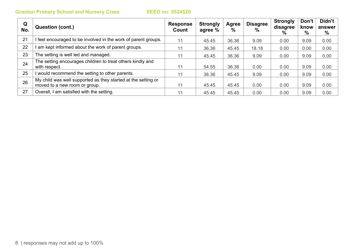| Q<br>No. | Question (cont.)                                                                               | <b>Response</b><br>Count | <b>Strongly</b><br>agree % | Agree<br>% | <b>Disagree</b><br>$\%$ | <b>Strongly</b><br>disagree<br>% | Don't<br>know<br>% | Didn't<br>answer<br>% |
|----------|------------------------------------------------------------------------------------------------|--------------------------|----------------------------|------------|-------------------------|----------------------------------|--------------------|-----------------------|
| 21       | feel encouraged to be involved in the work of parent groups.                                   | 11                       | 45.45                      | 36.36      | 9.09                    | 0.00                             | 9.09               | 0.00                  |
| 22       | am kept informed about the work of parent groups.                                              | 11                       | 36.36                      | 45.45      | 18.18                   | 0.00                             | 0.00               | 0.00                  |
| 23       | The setting is well led and managed.                                                           | 11                       | 45.45                      | 36.36      | 9.09                    | 0.00                             | 9.09               | 0.00                  |
| 24       | The setting encourages children to treat others kindly and<br>with respect.                    | 11                       | 54.55                      | 36.36      | 0.00                    | 0.00                             | 9.09               | 0.00                  |
| 25       | I would recommend the setting to other parents.                                                | 11                       | 36.36                      | 45.45      | 9.09                    | 0.00                             | 9.09               | 0.00                  |
| 26       | My child was well supported as they started at the setting or<br>moved to a new room or group. | 11                       | 45.45                      | 45.45      | 0.00                    | 0.00                             | 9.09               | 0.00                  |
| 27       | Overall, I am satisfied with the setting.                                                      | 11                       | 45.45                      | 45.45      | 0.00                    | 0.00                             | 9.09               | 0.00                  |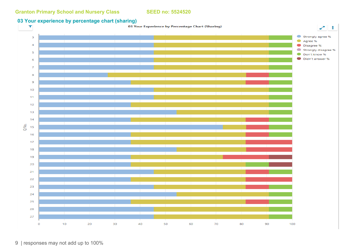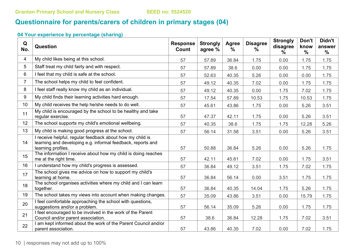# **Questionnaire for parents/carers of children in primary stages (04)**

| Q<br>No.       | Question                                                                                                                                       | <b>Response</b><br>Count | <b>Strongly</b><br>agree % | Agree<br>$\frac{0}{0}$ | <b>Disagree</b><br>$\frac{0}{0}$ | <b>Strongly</b><br>disagree<br>$\%$ | Don't<br>know<br>$\frac{0}{0}$ | Didn't<br>answer<br>$\frac{9}{6}$ |
|----------------|------------------------------------------------------------------------------------------------------------------------------------------------|--------------------------|----------------------------|------------------------|----------------------------------|-------------------------------------|--------------------------------|-----------------------------------|
| $\overline{4}$ | My child likes being at this school.                                                                                                           | 57                       | 57.89                      | 36.84                  | 1.75                             | 0.00                                | 1.75                           | 1.75                              |
| 5              | Staff treat my child fairly and with respect.                                                                                                  | 57                       | 57.89                      | 38.6                   | 0.00                             | 0.00                                | 1.75                           | 1.75                              |
| 6              | I feel that my child is safe at the school.                                                                                                    | 57                       | 52.63                      | 40.35                  | 5.26                             | 0.00                                | 0.00                           | 1.75                              |
| $\overline{7}$ | The school helps my child to feel confident.                                                                                                   | 57                       | 49.12                      | 40.35                  | 7.02                             | 0.00                                | 1.75                           | 1.75                              |
| 8              | I feel staff really know my child as an individual.                                                                                            | 57                       | 49.12                      | 40.35                  | 0.00                             | 1.75                                | 7.02                           | 1.75                              |
| 9              | My child finds their learning activities hard enough.                                                                                          | 57                       | 17.54                      | 57.89                  | 10.53                            | 1.75                                | 10.53                          | 1.75                              |
| 10             | My child receives the help he/she needs to do well.                                                                                            | 57                       | 45.61                      | 43.86                  | 1.75                             | 0.00                                | 5.26                           | 3.51                              |
| 11             | My child is encouraged by the school to be healthy and take<br>regular exercise.                                                               | 57                       | 47.37                      | 42.11                  | 1.75                             | 0.00                                | 5.26                           | 3.51                              |
| 12             | The school supports my child's emotional wellbeing.                                                                                            | 57                       | 40.35                      | 38.6                   | 1.75                             | 1.75                                | 12.28                          | 5.26                              |
| 13             | My child is making good progress at the school.                                                                                                | 57                       | 56.14                      | 31.58                  | 3.51                             | 0.00                                | 5.26                           | 3.51                              |
| 14             | I receive helpful, regular feedback about how my child is<br>learning and developing e.g. informal feedback, reports and<br>learning profiles. | 57                       | 50.88                      | 36.84                  | 5.26                             | 0.00                                | 5.26                           | 1.75                              |
| 15             | The information I receive about how my child is doing reaches<br>me at the right time.                                                         | 57                       | 42.11                      | 45.61                  | 7.02                             | 0.00                                | 1.75                           | 3.51                              |
| 16             | I understand how my child's progress is assessed.                                                                                              | 57                       | 36.84                      | 49.12                  | 3.51                             | 1.75                                | 7.02                           | 1.75                              |
| 17             | The school gives me advice on how to support my child's<br>learning at home.                                                                   | 57                       | 36.84                      | 56.14                  | 0.00                             | 3.51                                | 1.75                           | 1.75                              |
| 18             | The school organises activities where my child and I can learn<br>together.                                                                    | 57                       | 36.84                      | 40.35                  | 14.04                            | 1.75                                | 5.26                           | 1.75                              |
| 19             | The school takes my views into account when making changes.                                                                                    | 57                       | 35.09                      | 43.86                  | 3.51                             | 0.00                                | 15.79                          | 1.75                              |
| 20             | I feel comfortable approaching the school with questions,<br>suggestions and/or a problem.                                                     | 57                       | 56.14                      | 35.09                  | 5.26                             | 0.00                                | 1.75                           | 1.75                              |
| 21             | I feel encouraged to be involved in the work of the Parent<br>Council and/or parent association.                                               | 57                       | 38.6                       | 36.84                  | 12.28                            | 1.75                                | 7.02                           | 3.51                              |
| 22             | I am kept informed about the work of the Parent Council and/or<br>parent association.                                                          | 57                       | 43.86                      | 40.35                  | 7.02                             | 0.00                                | 7.02                           | 1.75                              |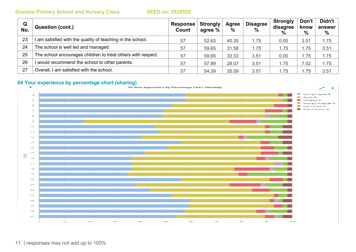| Q<br>No. | <b>Question (cont.)</b>                                      | Response  <br>Count | <b>Strongly</b><br>agree % | Agree<br>$\%$ | <b>Disagree</b><br>$\frac{0}{0}$ | <b>Strongly</b><br>disagree<br>% | Don't<br>know<br>% | Didn't<br>answer<br>% |
|----------|--------------------------------------------------------------|---------------------|----------------------------|---------------|----------------------------------|----------------------------------|--------------------|-----------------------|
| 23       | am satisfied with the quality of teaching in the school.     | 57                  | 52.63                      | 40.35         | 1.75                             | 0.00                             | 3.51               | 1.75                  |
| 24       | The school is well led and managed.                          | 57                  | 59.65                      | 31.58         | 1.75                             | 1.75                             | .75                | 3.51                  |
| 25       | The school encourages children to treat others with respect. | 57                  | 59.65                      | 33.33         | 3.51                             | 0.00                             | .75                | 1.75                  |
| 26       | I would recommend the school to other parents.               | 57                  | 57.89                      | 28.07         | 3.51                             | 1.75                             | 7.02               | 1.75                  |
| 27       | Overall, I am satisfied with the school.                     | 57                  | 54.39                      | 35.09         | 3.51                             | 1.75                             | .75                | 3.51                  |

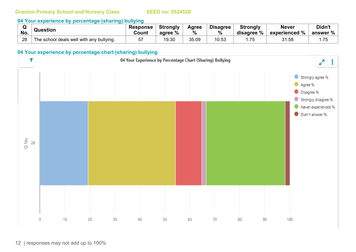#### **04 Your experience by percentage (sharing) bullying**

|     | Question                                 | <b>Response</b> | <b>Strongly</b> | Agree | <b>Disagree</b> | <b>Strongly</b> | <b>Never</b>  | Didn't   |
|-----|------------------------------------------|-----------------|-----------------|-------|-----------------|-----------------|---------------|----------|
| No. |                                          | Count           | agree %         | $\%$  | %               | disagree %      | experienced % | answer % |
| 28  | The school deals well with any bullying. | 57              | 19.30           | 35.09 | 10.53           | 75              | 31.58         | .75      |

#### **04 Your experience by percentage chart (sharing) bullying**

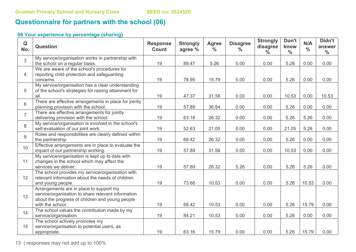## **Questionnaire for partners with the school (06)**

### **06 Your experience by percentage (sharing)**

| Q<br>No.       | <b>Question</b>                                                                                                                                                      | <b>Response</b><br><b>Count</b> | <b>Strongly</b><br>agree % | <b>Agree</b><br>$\frac{0}{0}$ | <b>Disagree</b><br>$\frac{0}{0}$ | <b>Strongly</b><br>disagree<br>$\frac{0}{0}$ | Don't<br>know<br>$\frac{0}{0}$ | N/A<br>$\frac{0}{0}$ | Didn't<br>answer<br>$\frac{0}{0}$ |
|----------------|----------------------------------------------------------------------------------------------------------------------------------------------------------------------|---------------------------------|----------------------------|-------------------------------|----------------------------------|----------------------------------------------|--------------------------------|----------------------|-----------------------------------|
| 3              | My service/organisation works in partnership with<br>the school on a regular basis.                                                                                  | 19                              | 89.47                      | 5.26                          | 0.00                             | 0.00                                         | 5.26                           | 0.00                 | 0.00                              |
| $\overline{4}$ | We are aware of the school's procedures for<br>reporting child protection and safeguarding<br>concerns.                                                              | 19                              | 78.95                      | 15.79                         | 0.00                             | 0.00                                         | 5.26                           | 0.00                 | 0.00                              |
| 5              | My service/organisation has a clear understanding<br>of the school's strategies for raising attainment for<br>all.                                                   | 19                              | 47.37                      | 31.58                         | 0.00                             | 0.00                                         | 10.53                          | 0.00                 | 10.53                             |
| 6              | There are effective arrangements in place for jointly<br>planning provision with the school.                                                                         | 19                              | 57.89                      | 36.84                         | 0.00                             | 0.00                                         | 5.26                           | 0.00                 | 0.00                              |
| $\overline{7}$ | There are effective arrangements for jointly<br>delivering provision with the school.                                                                                | 19                              | 63.16                      | 26.32                         | 0.00                             | 0.00                                         | 5.26                           | 5.26                 | 0.00                              |
| 8              | My service/organisation is involved in the school's<br>self-evaluation of our joint work.                                                                            | 19                              | 52.63                      | 21.05                         | 0.00                             | 0.00                                         | 21.05                          | 5.26                 | 0.00                              |
| 9              | Roles and responsibilities are clearly defined within<br>the partnership.                                                                                            | 19                              | 68.42                      | 26.32                         | 0.00                             | 0.00                                         | 5.26                           | 0.00                 | 0.00                              |
| 10             | Effective arrangements are in place to evaluate the<br>impact of our partnership working.                                                                            | 19                              | 57.89                      | 31.58                         | 0.00                             | 0.00                                         | 10.53                          | 0.00                 | 0.00                              |
| 11             | My service/organisation is kept up to date with<br>changes in the school which may affect the<br>services we deliver.                                                | 19                              | 57.89                      | 26.32                         | 5.26                             | 0.00                                         | 5.26                           | 5.26                 | 0.00                              |
| 12             | The school provides my service/organisation with<br>relevant information about the needs of children<br>and young people.                                            | 19                              | 73.68                      | 10.53                         | 0.00                             | 0.00                                         | 5.26                           | 10.53                | 0.00                              |
| 13             | Arrangements are in place to support my<br>service/organisation to share relevant information<br>about the progress of children and young people<br>with the school. | 19                              | 68.42                      | 10.53                         | 0.00                             | 0.00                                         | 5.26                           | 15.79                | 0.00                              |
| 14             | The school values the contribution made by my<br>service/organisation.                                                                                               | 19                              | 84.21                      | 10.53                         | 0.00                             | 0.00                                         | 5.26                           | 0.00                 | 0.00                              |
| 15             | The school actively promotes my<br>service/organisation to potential users, as<br>appropriate.                                                                       | 19                              | 63.16                      | 15.79                         | 0.00                             | 0.00                                         | 5.26                           | 15.79                | 0.00                              |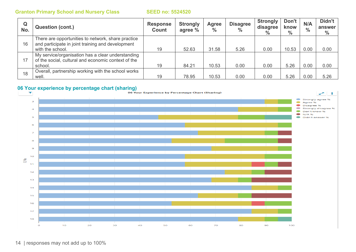| Q<br>No. | <b>Question (cont.)</b>                                                                                                     | <b>Response</b><br>Count | <b>Strongly</b><br>agree % | Agree<br>$\%$ | <b>Disagree</b><br>$\frac{0}{0}$ | <b>Strongly</b><br>disagree<br>$\%$ | Don't<br>know<br>$\%$ | N/A<br>$\frac{0}{0}$ | Didn't<br>answer<br>$\%$ |
|----------|-----------------------------------------------------------------------------------------------------------------------------|--------------------------|----------------------------|---------------|----------------------------------|-------------------------------------|-----------------------|----------------------|--------------------------|
| 16       | There are opportunities to network, share practice<br>and participate in joint training and development<br>with the school. | 19                       | 52.63                      | 31.58         | 5.26                             | 0.00                                | 10.53                 | 0.00                 | 0.00                     |
| 17       | My service/organisation has a clear understanding<br>of the social, cultural and economic context of the<br>school.         | 19                       | 84.21                      | 10.53         | 0.00                             | 0.00                                | 5.26                  | 0.00                 | 0.00                     |
| 18       | Overall, partnership working with the school works<br>well.                                                                 | 19                       | 78.95                      | 10.53         | 0.00                             | 0.00                                | 5.26                  | 0.00                 | 5.26                     |

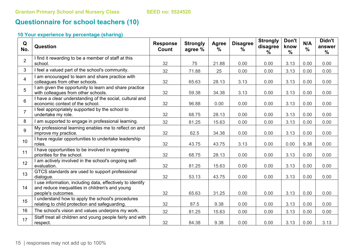# **Questionnaire for school teachers (10)**

| Q<br>No.        | Question                                                                                                                            | <b>Response</b><br>Count | <b>Strongly</b><br>agree % | Agree<br>$\frac{0}{0}$ | <b>Disagree</b><br>$\%$ | <b>Strongly</b><br>disagree<br>$\frac{0}{0}$ | Don't<br>know<br>$\frac{0}{0}$ | N/A<br>$\frac{0}{0}$ | Didn't<br>answer<br>$\frac{0}{0}$ |
|-----------------|-------------------------------------------------------------------------------------------------------------------------------------|--------------------------|----------------------------|------------------------|-------------------------|----------------------------------------------|--------------------------------|----------------------|-----------------------------------|
| $\overline{2}$  | I find it rewarding to be a member of staff at this<br>school.                                                                      | 32                       | 75                         | 21.88                  | 0.00                    | 0.00                                         | 3.13                           | 0.00                 | 0.00                              |
| 3               | I feel a valued part of the school's community.                                                                                     | 32                       | 71.88                      | 25                     | 0.00                    | 0.00                                         | 3.13                           | 0.00                 | 0.00                              |
| $\overline{4}$  | I am encouraged to learn and share practice with<br>colleagues from other schools.                                                  | 32                       | 65.63                      | 28.13                  | 3.13                    | 0.00                                         | 3.13                           | 0.00                 | 0.00                              |
| 5 <sup>5</sup>  | I am given the opportunity to learn and share practice<br>with colleagues from other schools.                                       | 32                       | 59.38                      | 34.38                  | 3.13                    | 0.00                                         | 3.13                           | 0.00                 | 0.00                              |
| $6\phantom{1}$  | I have a clear understanding of the social, cultural and<br>economic context of the school.                                         | 32                       | 96.88                      | 0.00                   | 0.00                    | 0.00                                         | 3.13                           | 0.00                 | 0.00                              |
| $\overline{7}$  | I feel appropriately supported by the school to<br>undertake my role.                                                               | 32                       | 68.75                      | 28.13                  | 0.00                    | 0.00                                         | 3.13                           | 0.00                 | 0.00                              |
| 8               | I am supported to engage in professional learning.                                                                                  | 32                       | 81.25                      | 15.63                  | 0.00                    | 0.00                                         | 3.13                           | 0.00                 | 0.00                              |
| 9               | My professional learning enables me to reflect on and<br>improve my practice.                                                       | 32                       | 62.5                       | 34.38                  | 0.00                    | 0.00                                         | 3.13                           | 0.00                 | 0.00                              |
| 10 <sup>1</sup> | I have regular opportunities to undertake leadership<br>roles.                                                                      | 32                       | 43.75                      | 43.75                  | 3.13                    | 0.00                                         | 0.00                           | 9.38                 | 0.00                              |
| 11              | I have opportunities to be involved in agreeing<br>priorities for the school.                                                       | 32                       | 68.75                      | 28.13                  | 0.00                    | 0.00                                         | 3.13                           | 0.00                 | 0.00                              |
| 12              | I am actively involved in the school's ongoing self-<br>evaluation.                                                                 | 32                       | 81.25                      | 15.63                  | 0.00                    | 0.00                                         | 3.13                           | 0.00                 | 0.00                              |
| 13              | GTCS standards are used to support professional<br>dialogue.                                                                        | 32                       | 53.13                      | 43.75                  | 0.00                    | 0.00                                         | 3.13                           | 0.00                 | 0.00                              |
| 14              | I use information, including data, effectively to identify<br>and reduce inequalities in children's and young<br>people's outcomes. | 32                       | 65.63                      | 31.25                  | 0.00                    | 0.00                                         | 3.13                           | 0.00                 | 0.00                              |
| 15              | I understand how to apply the school's procedures<br>relating to child protection and safeguarding.                                 | 32                       | 87.5                       | 9.38                   | 0.00                    | 0.00                                         | 3.13                           | 0.00                 | 0.00                              |
| 16              | The school's vision and values underpins my work.                                                                                   | 32                       | 81.25                      | 15.63                  | 0.00                    | 0.00                                         | 3.13                           | 0.00                 | 0.00                              |
| 17              | Staff treat all children and young people fairly and with<br>respect.                                                               | 32                       | 84.38                      | 9.38                   | 0.00                    | 0.00                                         | 3.13                           | 0.00                 | 3.13                              |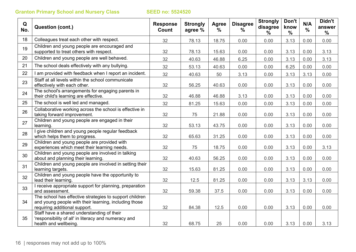| Q<br>No. | <b>Question (cont.)</b>                                                                                                                           | <b>Response</b><br>Count | <b>Strongly</b><br>agree % | Agree<br>$\frac{0}{0}$ | <b>Disagree</b><br>$\%$ | <b>Strongly</b><br>disagree<br>$\%$ | Don't<br>know<br>$\frac{0}{0}$ | N/A<br>$\frac{0}{0}$ | Didn't<br>answer<br>$\frac{0}{0}$ |
|----------|---------------------------------------------------------------------------------------------------------------------------------------------------|--------------------------|----------------------------|------------------------|-------------------------|-------------------------------------|--------------------------------|----------------------|-----------------------------------|
| 18       | Colleagues treat each other with respect.                                                                                                         | 32                       | 78.13                      | 18.75                  | 0.00                    | 0.00                                | 3.13                           | 0.00                 | 0.00                              |
| 19       | Children and young people are encouraged and<br>supported to treat others with respect.                                                           | 32                       | 78.13                      | 15.63                  | 0.00                    | 0.00                                | 3.13                           | 0.00                 | 3.13                              |
| 20       | Children and young people are well behaved.                                                                                                       | 32                       | 40.63                      | 46.88                  | 6.25                    | 0.00                                | 3.13                           | 0.00                 | 3.13                              |
| 21       | The school deals effectively with any bullying.                                                                                                   | 32                       | 53.13                      | 40.63                  | 0.00                    | 0.00                                | 6.25                           | 0.00                 | 0.00                              |
| 22       | I am provided with feedback when I report an incident.                                                                                            | 32                       | 40.63                      | 50                     | 3.13                    | 0.00                                | 3.13                           | 3.13                 | 0.00                              |
| 23       | Staff at all levels within the school communicate<br>effectively with each other.                                                                 | 32                       | 56.25                      | 40.63                  | 0.00                    | 0.00                                | 3.13                           | 0.00                 | 0.00                              |
| 24       | The school's arrangements for engaging parents in<br>their child's learning are effective.                                                        | 32                       | 46.88                      | 46.88                  | 3.13                    | 0.00                                | 3.13                           | 0.00                 | 0.00                              |
| 25       | The school is well led and managed.                                                                                                               | 32                       | 81.25                      | 15.63                  | 0.00                    | 0.00                                | 3.13                           | 0.00                 | 0.00                              |
| 26       | Collaborative working across the school is effective in<br>taking forward improvement.                                                            | 32                       | 75                         | 21.88                  | 0.00                    | 0.00                                | 3.13                           | 0.00                 | 0.00                              |
| 27       | Children and young people are engaged in their<br>learning.                                                                                       | 32                       | 53.13                      | 43.75                  | 0.00                    | 0.00                                | 3.13                           | 0.00                 | 0.00                              |
| 28       | I give children and young people regular feedback<br>which helps them to progress.                                                                | 32                       | 65.63                      | 31.25                  | 0.00                    | 0.00                                | 3.13                           | 0.00                 | 0.00                              |
| 29       | Children and young people are provided with<br>experiences which meet their learning needs.                                                       | 32                       | 75                         | 18.75                  | 0.00                    | 0.00                                | 3.13                           | 0.00                 | 3.13                              |
| 30       | Children and young people are involved in talking<br>about and planning their learning.                                                           | 32                       | 40.63                      | 56.25                  | 0.00                    | 0.00                                | 3.13                           | 0.00                 | 0.00                              |
| 31       | Children and young people are involved in setting their<br>learning targets.                                                                      | 32                       | 15.63                      | 81.25                  | 0.00                    | 0.00                                | 3.13                           | 0.00                 | 0.00                              |
| 32       | Children and young people have the opportunity to<br>lead their learning.                                                                         | 32                       | 12.5                       | 81.25                  | 0.00                    | 0.00                                | 3.13                           | 3.13                 | 0.00                              |
| 33       | I receive appropriate support for planning, preparation<br>and assessment.                                                                        | 32                       | 59.38                      | 37.5                   | 0.00                    | 0.00                                | 3.13                           | 0.00                 | 0.00                              |
| 34       | The school has effective strategies to support children<br>and young people with their learning, including those<br>requiring additional support. | 32                       | 84.38                      | 12.5                   | 0.00                    | 0.00                                | 3.13                           | 0.00                 | 0.00                              |
| 35       | Staff have a shared understanding of their<br>'responsibility of all' in literacy and numeracy and                                                |                          |                            |                        |                         |                                     |                                |                      |                                   |
|          | health and wellbeing.                                                                                                                             | 32                       | 68.75                      | 25                     | 0.00                    | 0.00                                | 3.13                           | 0.00                 | 3.13                              |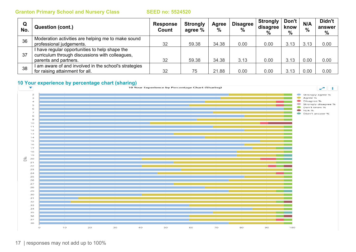| Q<br>No. | <b>Question (cont.)</b>                             | <b>Response</b><br>Count | <b>Strongly</b><br>agree % | Agree<br>$\%$ | <b>Disagree</b><br>$\%$ | <b>Strongly</b><br>disagree<br>% | Don't<br>know<br>$\%$ | N/A<br>$\frac{0}{0}$ | Didn't<br>answer<br>% |
|----------|-----------------------------------------------------|--------------------------|----------------------------|---------------|-------------------------|----------------------------------|-----------------------|----------------------|-----------------------|
| 36       | Moderation activities are helping me to make sound  |                          |                            |               |                         |                                  |                       |                      |                       |
|          | professional judgements.                            | 32                       | 59.38                      | 34.38         | 0.00                    | 0.00                             | 3.13                  | 3.13                 | 0.00                  |
|          | I have regular opportunities to help shape the      |                          |                            |               |                         |                                  |                       |                      |                       |
| 37       | curriculum through discussions with colleagues,     |                          |                            |               |                         |                                  |                       |                      |                       |
|          | parents and partners.                               | 32                       | 59.38                      | 34.38         | 3.13                    | 0.00                             | 3.13                  | 0.00                 | 0.00                  |
| 38       | am aware of and involved in the school's strategies |                          |                            |               |                         |                                  |                       |                      |                       |
|          | for raising attainment for all.                     | 32                       | 75                         | 21.88         | 0.00                    | 0.00                             | 3.13                  | 0.00                 | 0.00                  |

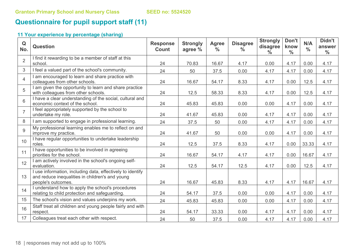# **Questionnaire for pupil support staff (11)**

| Q<br>No.        | <b>Question</b>                                                                                                                     | <b>Response</b><br>Count | <b>Strongly</b><br>agree % | <b>Agree</b><br>$\frac{0}{0}$ | <b>Disagree</b><br>$\%$ | <b>Strongly</b><br>disagree<br>$\frac{0}{0}$ | Don't<br>know<br>$\frac{0}{0}$ | N/A<br>$\frac{0}{0}$ | Didn't<br>answer<br>$\frac{0}{0}$ |
|-----------------|-------------------------------------------------------------------------------------------------------------------------------------|--------------------------|----------------------------|-------------------------------|-------------------------|----------------------------------------------|--------------------------------|----------------------|-----------------------------------|
| $\overline{2}$  | I find it rewarding to be a member of staff at this<br>school.                                                                      | 24                       | 70.83                      | 16.67                         | 4.17                    | 0.00                                         | 4.17                           | 0.00                 | 4.17                              |
| 3               | I feel a valued part of the school's community.                                                                                     | 24                       | 50                         | 37.5                          | 0.00                    | 4.17                                         | 4.17                           | 0.00                 | 4.17                              |
| 4               | I am encouraged to learn and share practice with<br>colleagues from other schools.                                                  | 24                       | 16.67                      | 54.17                         | 8.33                    | 4.17                                         | 0.00                           | 12.5                 | 4.17                              |
| 5               | I am given the opportunity to learn and share practice<br>with colleagues from other schools.                                       | 24                       | 12.5                       | 58.33                         | 8.33                    | 4.17                                         | 0.00                           | 12.5                 | 4.17                              |
| 6               | I have a clear understanding of the social, cultural and<br>economic context of the school.                                         | 24                       | 45.83                      | 45.83                         | 0.00                    | 0.00                                         | 4.17                           | 0.00                 | 4.17                              |
| $\overline{7}$  | I feel appropriately supported by the school to<br>undertake my role.                                                               | 24                       | 41.67                      | 45.83                         | 0.00                    | 4.17                                         | 4.17                           | 0.00                 | 4.17                              |
| 8               | I am supported to engage in professional learning.                                                                                  | 24                       | 37.5                       | 50                            | 0.00                    | 4.17                                         | 4.17                           | 0.00                 | 4.17                              |
| 9               | My professional learning enables me to reflect on and<br>improve my practice.                                                       | 24                       | 41.67                      | 50                            | 0.00                    | 0.00                                         | 4.17                           | 0.00                 | 4.17                              |
| 10 <sup>°</sup> | I have regular opportunities to undertake leadership<br>roles.                                                                      | 24                       | 12.5                       | 37.5                          | 8.33                    | 4.17                                         | 0.00                           | 33.33                | 4.17                              |
| 11              | I have opportunities to be involved in agreeing<br>priorities for the school.                                                       | 24                       | 16.67                      | 54.17                         | 4.17                    | 4.17                                         | 0.00                           | 16.67                | 4.17                              |
| 12              | I am actively involved in the school's ongoing self-<br>evaluation.                                                                 | 24                       | 12.5                       | 54.17                         | 12.5                    | 4.17                                         | 0.00                           | 12.5                 | 4.17                              |
| 13              | I use information, including data, effectively to identify<br>and reduce inequalities in children's and young<br>people's outcomes. | 24                       | 16.67                      | 45.83                         | 8.33                    | 4.17                                         | 4.17                           | 16.67                | 4.17                              |
| 14              | I understand how to apply the school's procedures<br>relating to child protection and safeguarding.                                 | 24                       | 54.17                      | 37.5                          | 0.00                    | 0.00                                         | 4.17                           | 0.00                 | 4.17                              |
| 15              | The school's vision and values underpins my work.                                                                                   | 24                       | 45.83                      | 45.83                         | 0.00                    | 0.00                                         | 4.17                           | 0.00                 | 4.17                              |
| 16              | Staff treat all children and young people fairly and with<br>respect.                                                               | 24                       | 54.17                      | 33.33                         | 0.00                    | 4.17                                         | 4.17                           | 0.00                 | 4.17                              |
| 17              | Colleagues treat each other with respect.                                                                                           | 24                       | 50                         | 37.5                          | 0.00                    | 4.17                                         | 4.17                           | 0.00                 | 4.17                              |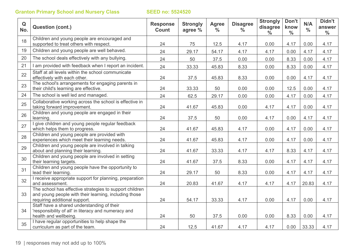| Q<br>No. | <b>Question (cont.)</b>                                                                                                                           | <b>Response</b><br>Count | <b>Strongly</b><br>agree % | <b>Agree</b><br>$\frac{9}{6}$ | <b>Disagree</b><br>$\frac{0}{0}$ | <b>Strongly</b><br>disagree<br>$\frac{0}{0}$ | Don't<br>know<br>$\frac{0}{0}$ | N/A<br>$\frac{0}{0}$ | Didn't<br>answer<br>$\frac{0}{0}$ |
|----------|---------------------------------------------------------------------------------------------------------------------------------------------------|--------------------------|----------------------------|-------------------------------|----------------------------------|----------------------------------------------|--------------------------------|----------------------|-----------------------------------|
| 18       | Children and young people are encouraged and<br>supported to treat others with respect.                                                           | 24                       | 75                         | 12.5                          | 4.17                             | 0.00                                         | 4.17                           | 0.00                 | 4.17                              |
| 19       | Children and young people are well behaved.                                                                                                       | 24                       | 29.17                      | 54.17                         | 4.17                             | 4.17                                         | 0.00                           | 4.17                 | 4.17                              |
| 20       | The school deals effectively with any bullying.                                                                                                   | 24                       | 50                         | 37.5                          | 0.00                             | 0.00                                         | 8.33                           | 0.00                 | 4.17                              |
| 21       | I am provided with feedback when I report an incident.                                                                                            | 24                       | 33.33                      | 45.83                         | 8.33                             | 0.00                                         | 8.33                           | 0.00                 | 4.17                              |
| 22       | Staff at all levels within the school communicate<br>effectively with each other.                                                                 | 24                       | 37.5                       | 45.83                         | 8.33                             | 0.00                                         | 0.00                           | 4.17                 | 4.17                              |
| 23       | The school's arrangements for engaging parents in<br>their child's learning are effective.                                                        | 24                       | 33.33                      | 50                            | 0.00                             | 0.00                                         | 12.5                           | 0.00                 | 4.17                              |
| 24       | The school is well led and managed.                                                                                                               | 24                       | 62.5                       | 29.17                         | 0.00                             | 0.00                                         | 4.17                           | 0.00                 | 4.17                              |
| 25       | Collaborative working across the school is effective in<br>taking forward improvement.                                                            | 24                       | 41.67                      | 45.83                         | 0.00                             | 4.17                                         | 4.17                           | 0.00                 | 4.17                              |
| 26       | Children and young people are engaged in their<br>learning.                                                                                       | 24                       | 37.5                       | 50                            | 0.00                             | 4.17                                         | 0.00                           | 4.17                 | 4.17                              |
| 27       | I give children and young people regular feedback<br>which helps them to progress.                                                                | 24                       | 41.67                      | 45.83                         | 4.17                             | 0.00                                         | 4.17                           | 0.00                 | 4.17                              |
| 28       | Children and young people are provided with<br>experiences which meet their learning needs.                                                       | 24                       | 41.67                      | 45.83                         | 4.17                             | 0.00                                         | 4.17                           | 0.00                 | 4.17                              |
| 29       | Children and young people are involved in talking<br>about and planning their learning.                                                           | 24                       | 41.67                      | 33.33                         | 4.17                             | 4.17                                         | 8.33                           | 4.17                 | 4.17                              |
| 30       | Children and young people are involved in setting<br>their learning targets.                                                                      | 24                       | 41.67                      | 37.5                          | 8.33                             | 0.00                                         | 4.17                           | 4.17                 | 4.17                              |
| 31       | Children and young people have the opportunity to<br>lead their learning.                                                                         | 24                       | 29.17                      | 50                            | 8.33                             | 0.00                                         | 4.17                           | 4.17                 | 4.17                              |
| 32       | I receive appropriate support for planning, preparation<br>and assessment.                                                                        | 24                       | 20.83                      | 41.67                         | 4.17                             | 4.17                                         | 4.17                           | 20.83                | 4.17                              |
| 33       | The school has effective strategies to support children<br>and young people with their learning, including those<br>requiring additional support. | 24                       | 54.17                      | 33.33                         | 4.17                             | 0.00                                         | 4.17                           | 0.00                 | 4.17                              |
| 34       | Staff have a shared understanding of their<br>'responsibility of all' in literacy and numeracy and                                                |                          |                            |                               |                                  |                                              |                                |                      |                                   |
|          | health and wellbeing.                                                                                                                             | 24                       | 50                         | 37.5                          | 0.00                             | 0.00                                         | 8.33                           | 0.00                 | 4.17                              |
| 35       | I have regular opportunities to help shape the<br>curriculum as part of the team.                                                                 | 24                       | 12.5                       | 41.67                         | 4.17                             | 4.17                                         | 0.00                           | 33.33                | 4.17                              |